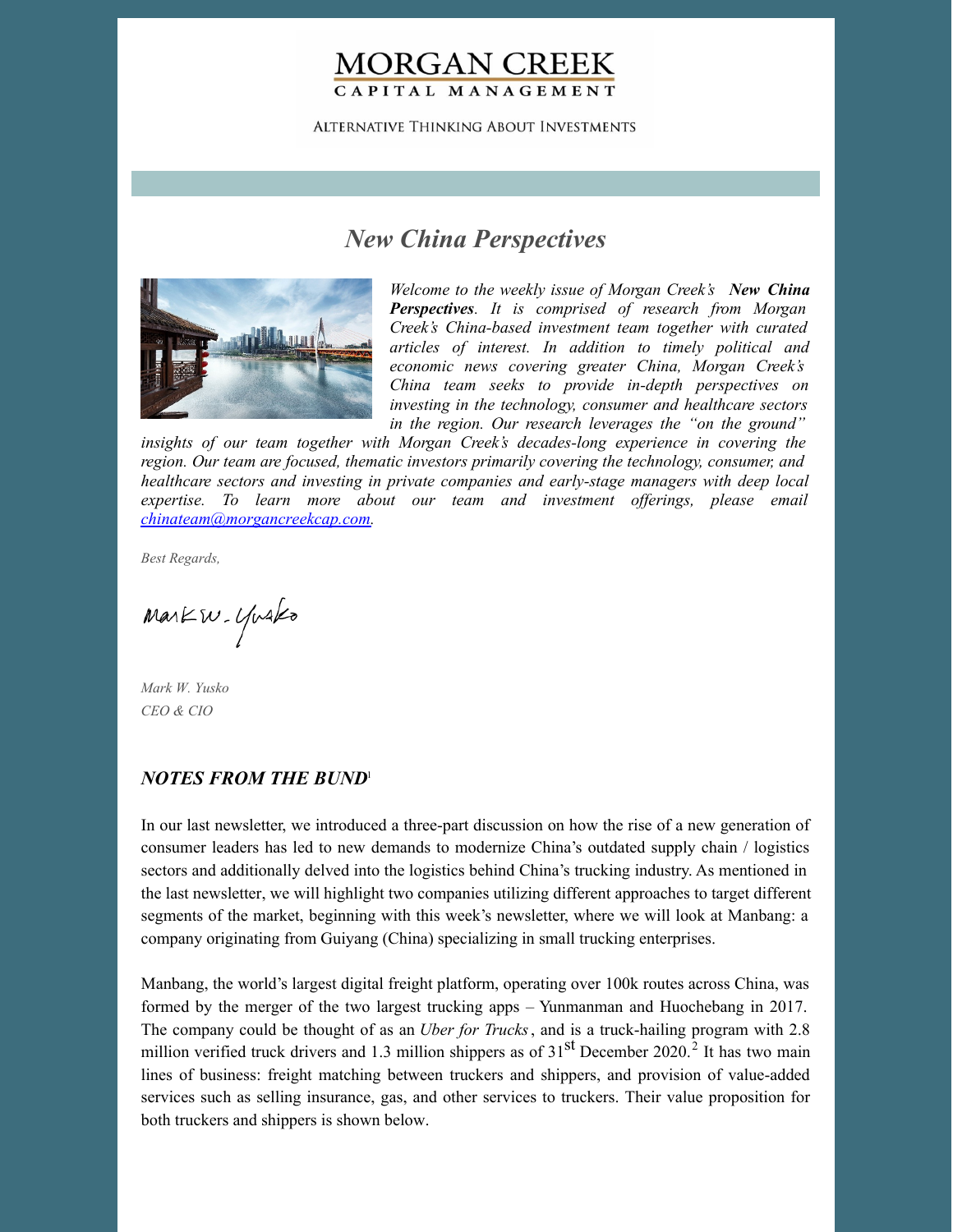# **MORGAN CREEK** CAPITAL MANAGEMENT

**ALTERNATIVE THINKING ABOUT INVESTMENTS** 

# *New China Perspectives*



*Welcome to the weekly issue of Morgan Creek's New China Perspectives. It is comprised of research from Morgan Creek's China-based investment team together with curated articles of interest. In addition to timely political and economic news covering greater China, Morgan Creek's China team seeks to provide in-depth perspectives on investing in the technology, consumer and healthcare sectors in the region. Our research leverages the "on the ground"*

*insights of our team together with Morgan Creek's decades-long experience in covering the region. Our team are focused, thematic investors primarily covering the technology, consumer, and healthcare sectors and investing in private companies and early-stage managers with deep local expertise. To learn more about our team and investment of erings, please email [chinateam@morgancreekcap.com](mailto:chinateam@morgancreekcap.com).*

*Best Regards,*

Markw. Yusko

*Mark W. Yusko CEO & CIO*

#### *NOTES FROM THE BUND* 1

In our last newsletter, we introduced a three-part discussion on how the rise of a new generation of consumer leaders has led to new demands to modernize China's outdated supply chain / logistics sectors and additionally delved into the logistics behind China's trucking industry. As mentioned in the last newsletter, we will highlight two companies utilizing different approaches to target different segments of the market, beginning with this week's newsletter, where we will look at Manbang: a company originating from Guiyang (China) specializing in small trucking enterprises.

Manbang, the world's largest digital freight platform, operating over 100k routes across China, was formed by the merger of the two largest trucking apps – Yunmanman and Huochebang in 2017. The company could be thought of as an *Uber for Trucks*, and is a truck-hailing program with 2.8 million verified truck drivers and 1.3 million shippers as of  $31<sup>st</sup>$  December 2020.<sup>2</sup> It has two main lines of business: freight matching between truckers and shippers, and provision of value-added services such as selling insurance, gas, and other services to truckers. Their value proposition for both truckers and shippers is shown below.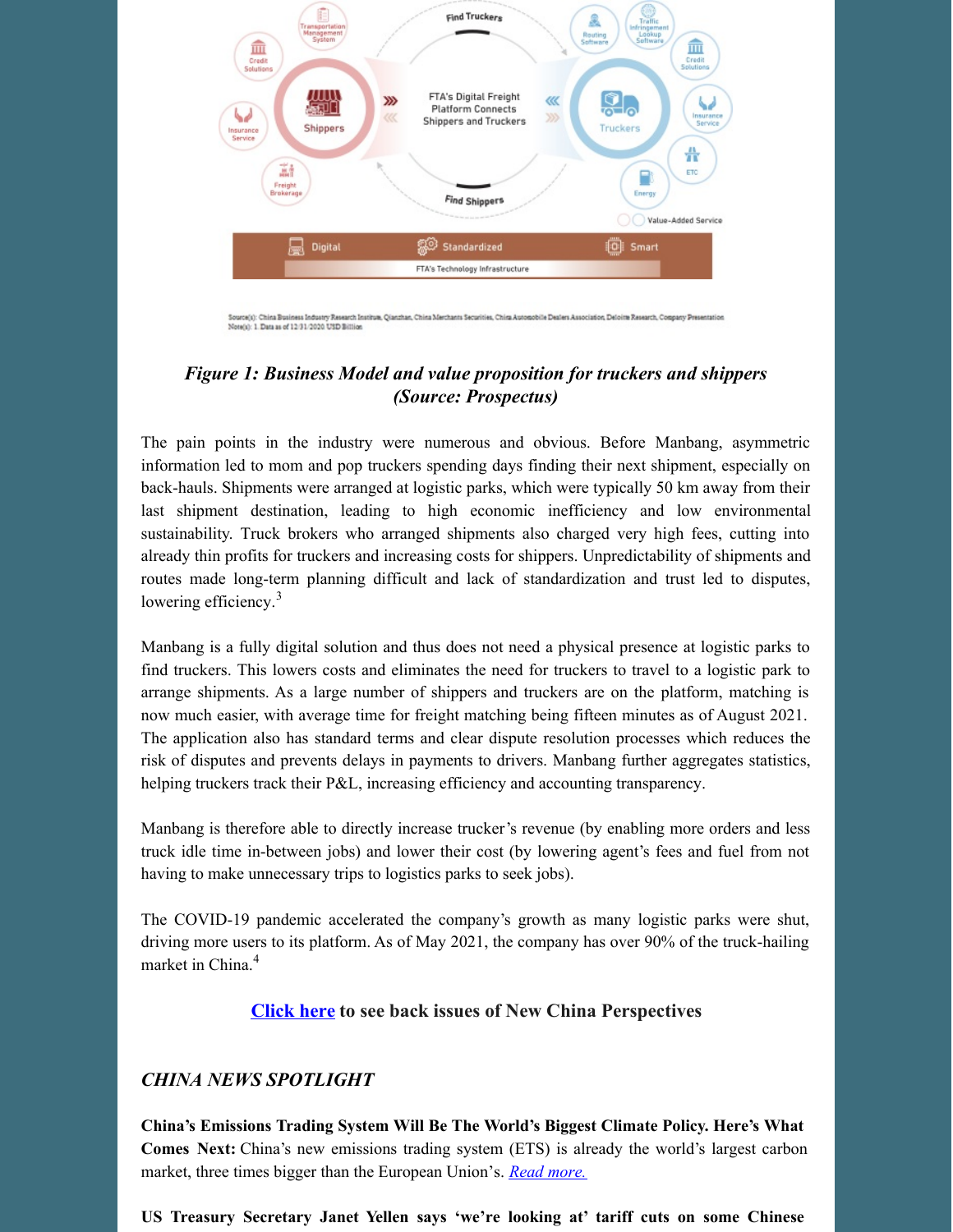

Source(s): China Business Industry Research Institute, Qianzhan, China Merchants Securities, China Automobile Dealers Association, Deloitte Research, Company Presentation Note(s): 1. Data as of 12/31/2020 USD Billion

## *Figure 1: Business Model and value proposition for truckers and shippers (Source: Prospectus)*

The pain points in the industry were numerous and obvious. Before Manbang, asymmetric information led to mom and pop truckers spending days finding their next shipment, especially on back-hauls. Shipments were arranged at logistic parks, which were typically 50 km away from their last shipment destination, leading to high economic inefficiency and low environmental sustainability. Truck brokers who arranged shipments also charged very high fees, cutting into already thin profits for truckers and increasing costs for shippers. Unpredictability of shipments and routes made long-term planning difficult and lack of standardization and trust led to disputes, lowering efficiency.<sup>3</sup>

Manbang is a fully digital solution and thus does not need a physical presence at logistic parks to find truckers. This lowers costs and eliminates the need for truckers to travel to a logistic park to arrange shipments. As a large number of shippers and truckers are on the platform, matching is now much easier, with average time for freight matching being fifteen minutes as of August 2021. The application also has standard terms and clear dispute resolution processes which reduces the risk of disputes and prevents delays in payments to drivers. Manbang further aggregates statistics, helping truckers track their P&L, increasing efficiency and accounting transparency.

Manbang is therefore able to directly increase trucker's revenue (by enabling more orders and less truck idle time in-between jobs) and lower their cost (by lowering agent's fees and fuel from not having to make unnecessary trips to logistics parks to seek jobs).

The COVID-19 pandemic accelerated the company's growth as many logistic parks were shut, driving more users to its platform. As of May 2021, the company has over 90% of the truck-hailing market in China. 4

### **[Click](https://www.morgancreekcap.com/market-commentary/#investment-process) here to see back issues of New China Perspectives**

### *CHINA NEWS SPOTLIGHT*

**China's Emissions Trading System Will Be The World's Biggest Climate Policy. Here's What Comes Next:** China's new emissions trading system (ETS) is already the world's largest carbon market, three times bigger than the European Union's. *Read [more.](https://www.forbes.com/sites/energyinnovation/2022/04/18/chinas-emissions-trading-system-will-be-the-worlds-biggest-climate-policy-heres-what-comes-next/?sh=71efd2952d59)*

**US Treasury Secretary Janet Yellen says 'we're looking at' tariff cuts on some Chinese**